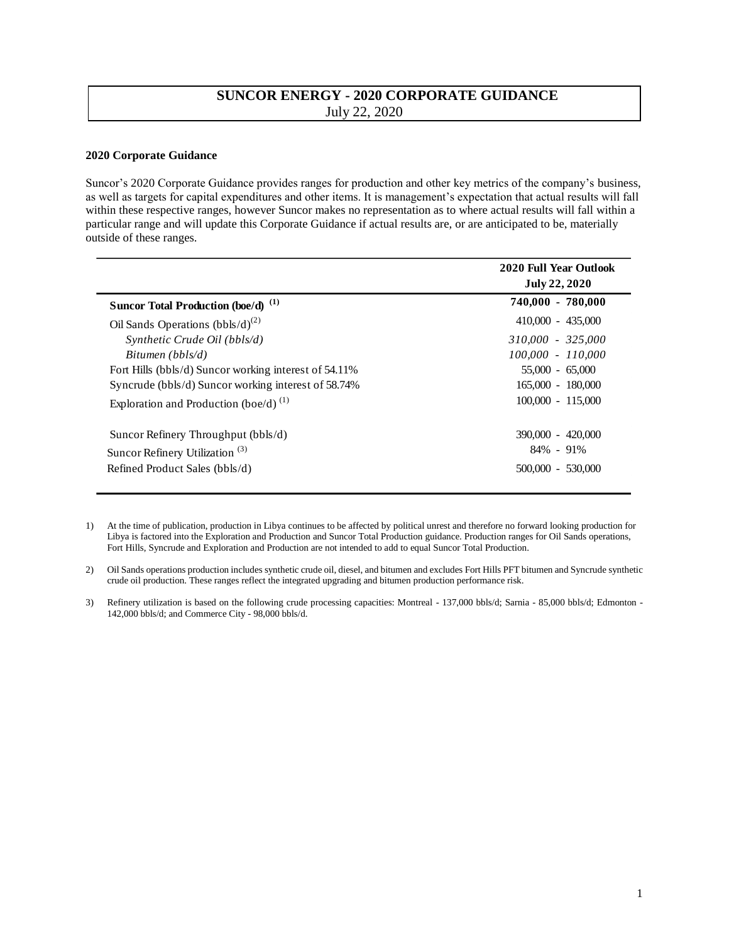## **SUNCOR ENERGY - 2020 CORPORATE GUIDANCE**  July 22, 2020

## **2020 Corporate Guidance**

Suncor's 2020 Corporate Guidance provides ranges for production and other key metrics of the company's business, as well as targets for capital expenditures and other items. It is management's expectation that actual results will fall within these respective ranges, however Suncor makes no representation as to where actual results will fall within a particular range and will update this Corporate Guidance if actual results are, or are anticipated to be, materially outside of these ranges.

|                                                       | 2020 Full Year Outlook<br><b>July 22, 2020</b> |
|-------------------------------------------------------|------------------------------------------------|
| Suncor Total Production (boe/d) <sup>(1)</sup>        | 740,000 - 780,000                              |
| Oil Sands Operations $(bbls/d)^{(2)}$                 | $410,000 - 435,000$                            |
| Synthetic Crude Oil (bbls/d)                          | 310,000 - 325,000                              |
| Bitumen (bbls/d)                                      | 100.000 - 110.000                              |
| Fort Hills (bbls/d) Suncor working interest of 54.11% | $55,000 - 65,000$                              |
| Syncrude (bbls/d) Suncor working interest of 58.74%   | $165,000 - 180,000$                            |
| Exploration and Production (boe/d) $^{(1)}$           | $100,000 - 115,000$                            |
| Suncor Refinery Throughput (bbls/d)                   | 390,000 - 420,000                              |
| Suncor Refinery Utilization <sup>(3)</sup>            | $84\% - 91\%$                                  |
| Refined Product Sales (bbls/d)                        | 500,000 - 530,000                              |

1) At the time of publication, production in Libya continues to be affected by political unrest and therefore no forward looking production for Libya is factored into the Exploration and Production and Suncor Total Production guidance. Production ranges for Oil Sands operations, Fort Hills, Syncrude and Exploration and Production are not intended to add to equal Suncor Total Production.

2) Oil Sands operations production includes synthetic crude oil, diesel, and bitumen and excludes Fort Hills PFT bitumen and Syncrude synthetic crude oil production. These ranges reflect the integrated upgrading and bitumen production performance risk.

3) Refinery utilization is based on the following crude processing capacities: Montreal - 137,000 bbls/d; Sarnia - 85,000 bbls/d; Edmonton - 142,000 bbls/d; and Commerce City - 98,000 bbls/d.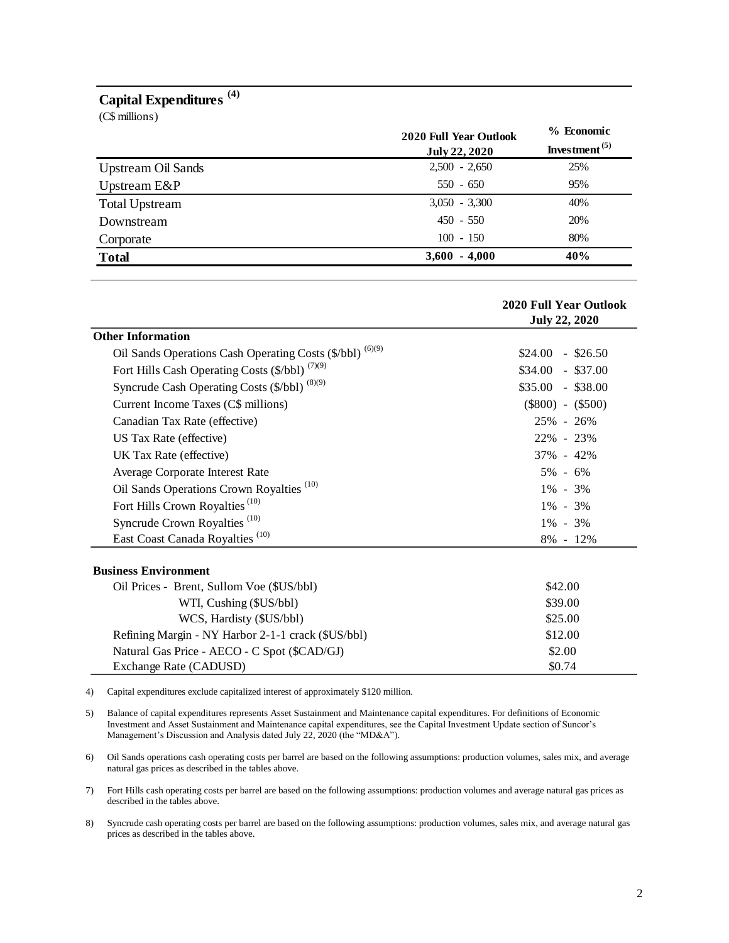## **Capital Expenditures (4)**

(C\$ millions)

|                           | <b>2020 Full Year Outlook</b><br><b>July 22, 2020</b> | % Economic<br>Investment $(5)$ |
|---------------------------|-------------------------------------------------------|--------------------------------|
| <b>Upstream Oil Sands</b> | $2,500 - 2,650$                                       | 25%                            |
| Upstream E&P              | $550 - 650$                                           | 95%                            |
| <b>Total Upstream</b>     | $3,050 - 3,300$                                       | 40%                            |
| Downstream                | $450 - 550$                                           | 20%                            |
| Corporate                 | $100 - 150$                                           | 80%                            |
| <b>Total</b>              | $3,600 - 4,000$                                       | 40%                            |
|                           |                                                       |                                |

|                                                           | 2020 Full Year Outlook |  |
|-----------------------------------------------------------|------------------------|--|
|                                                           | <b>July 22, 2020</b>   |  |
| <b>Other Information</b>                                  |                        |  |
| Oil Sands Operations Cash Operating Costs (\$/bbl) (6)(9) | $$24.00 - $26.50$      |  |
| Fort Hills Cash Operating Costs (\$/bbl) (7)(9)           | $$34.00$ - \$37.00     |  |
| Syncrude Cash Operating Costs (\$/bbl) (8)(9)             | $$35.00 - $38.00$      |  |
| Current Income Taxes (C\$ millions)                       | $(\$800) - (\$500)$    |  |
| Canadian Tax Rate (effective)                             | 25% - 26%              |  |
| US Tax Rate (effective)                                   | 22\% - 23\%            |  |
| UK Tax Rate (effective)                                   | $37\% - 42\%$          |  |
| Average Corporate Interest Rate                           | $5\% - 6\%$            |  |
| Oil Sands Operations Crown Royalties <sup>(10)</sup>      | 1% - 3%                |  |
| Fort Hills Crown Royalties <sup>(10)</sup>                | $1\% - 3\%$            |  |
| Syncrude Crown Royalties <sup>(10)</sup>                  | $1\% - 3\%$            |  |
| East Coast Canada Royalties <sup>(10)</sup>               | $8\% - 12\%$           |  |
| <b>Business Environment</b>                               |                        |  |
| Oil Prices - Brent, Sullom Voe (\$US/bbl)                 | \$42.00                |  |
| WTI, Cushing (\$US/bbl)                                   | \$39.00                |  |
| WCS, Hardisty (\$US/bbl)                                  | \$25.00                |  |
| Refining Margin - NY Harbor 2-1-1 crack (\$US/bbl)        | \$12.00                |  |
| Natural Gas Price - AECO - C Spot (\$CAD/GJ)              | \$2.00                 |  |
| Exchange Rate (CADUSD)                                    | \$0.74                 |  |

4) Capital expenditures exclude capitalized interest of approximately \$120 million.

5) Balance of capital expenditures represents Asset Sustainment and Maintenance capital expenditures. For definitions of Economic Investment and Asset Sustainment and Maintenance capital expenditures, see the Capital Investment Update section of Suncor's Management's Discussion and Analysis dated July 22, 2020 (the "MD&A").

6) Oil Sands operations cash operating costs per barrel are based on the following assumptions: production volumes, sales mix, and average natural gas prices as described in the tables above.

7) Fort Hills cash operating costs per barrel are based on the following assumptions: production volumes and average natural gas prices as described in the tables above.

8) Syncrude cash operating costs per barrel are based on the following assumptions: production volumes, sales mix, and average natural gas prices as described in the tables above.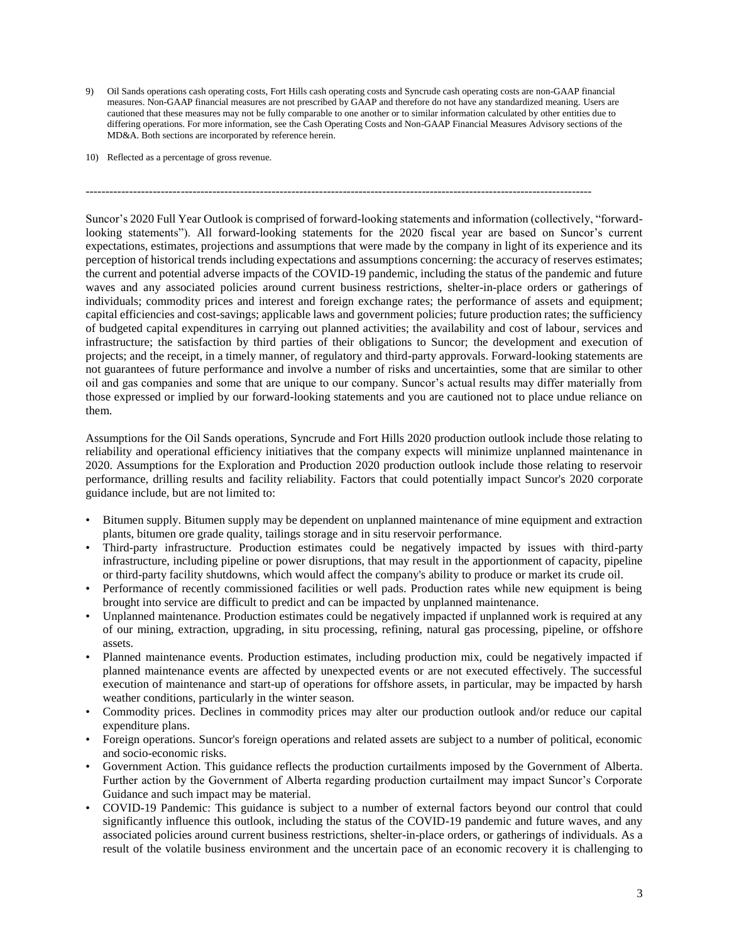9) Oil Sands operations cash operating costs, Fort Hills cash operating costs and Syncrude cash operating costs are non-GAAP financial measures. Non-GAAP financial measures are not prescribed by GAAP and therefore do not have any standardized meaning. Users are cautioned that these measures may not be fully comparable to one another or to similar information calculated by other entities due to differing operations. For more information, see the Cash Operating Costs and Non-GAAP Financial Measures Advisory sections of the MD&A. Both sections are incorporated by reference herein.

--------------------------------------------------------------------------------------------------------------------------------

10) Reflected as a percentage of gross revenue.

Suncor's 2020 Full Year Outlook is comprised of forward-looking statements and information (collectively, "forwardlooking statements"). All forward-looking statements for the 2020 fiscal year are based on Suncor's current expectations, estimates, projections and assumptions that were made by the company in light of its experience and its perception of historical trends including expectations and assumptions concerning: the accuracy of reserves estimates; the current and potential adverse impacts of the COVID-19 pandemic, including the status of the pandemic and future waves and any associated policies around current business restrictions, shelter-in-place orders or gatherings of individuals; commodity prices and interest and foreign exchange rates; the performance of assets and equipment; capital efficiencies and cost-savings; applicable laws and government policies; future production rates; the sufficiency of budgeted capital expenditures in carrying out planned activities; the availability and cost of labour, services and infrastructure; the satisfaction by third parties of their obligations to Suncor; the development and execution of projects; and the receipt, in a timely manner, of regulatory and third-party approvals. Forward-looking statements are not guarantees of future performance and involve a number of risks and uncertainties, some that are similar to other oil and gas companies and some that are unique to our company. Suncor's actual results may differ materially from those expressed or implied by our forward-looking statements and you are cautioned not to place undue reliance on them.

Assumptions for the Oil Sands operations, Syncrude and Fort Hills 2020 production outlook include those relating to reliability and operational efficiency initiatives that the company expects will minimize unplanned maintenance in 2020. Assumptions for the Exploration and Production 2020 production outlook include those relating to reservoir performance, drilling results and facility reliability. Factors that could potentially impact Suncor's 2020 corporate guidance include, but are not limited to:

- Bitumen supply. Bitumen supply may be dependent on unplanned maintenance of mine equipment and extraction plants, bitumen ore grade quality, tailings storage and in situ reservoir performance.
- Third-party infrastructure. Production estimates could be negatively impacted by issues with third-party infrastructure, including pipeline or power disruptions, that may result in the apportionment of capacity, pipeline or third-party facility shutdowns, which would affect the company's ability to produce or market its crude oil.
- Performance of recently commissioned facilities or well pads. Production rates while new equipment is being brought into service are difficult to predict and can be impacted by unplanned maintenance.
- Unplanned maintenance. Production estimates could be negatively impacted if unplanned work is required at any of our mining, extraction, upgrading, in situ processing, refining, natural gas processing, pipeline, or offshore assets.
- Planned maintenance events. Production estimates, including production mix, could be negatively impacted if planned maintenance events are affected by unexpected events or are not executed effectively. The successful execution of maintenance and start-up of operations for offshore assets, in particular, may be impacted by harsh weather conditions, particularly in the winter season.
- Commodity prices. Declines in commodity prices may alter our production outlook and/or reduce our capital expenditure plans.
- Foreign operations. Suncor's foreign operations and related assets are subject to a number of political, economic and socio-economic risks.
- Government Action. This guidance reflects the production curtailments imposed by the Government of Alberta. Further action by the Government of Alberta regarding production curtailment may impact Suncor's Corporate Guidance and such impact may be material.
- COVID-19 Pandemic: This guidance is subject to a number of external factors beyond our control that could significantly influence this outlook, including the status of the COVID-19 pandemic and future waves, and any associated policies around current business restrictions, shelter-in-place orders, or gatherings of individuals. As a result of the volatile business environment and the uncertain pace of an economic recovery it is challenging to